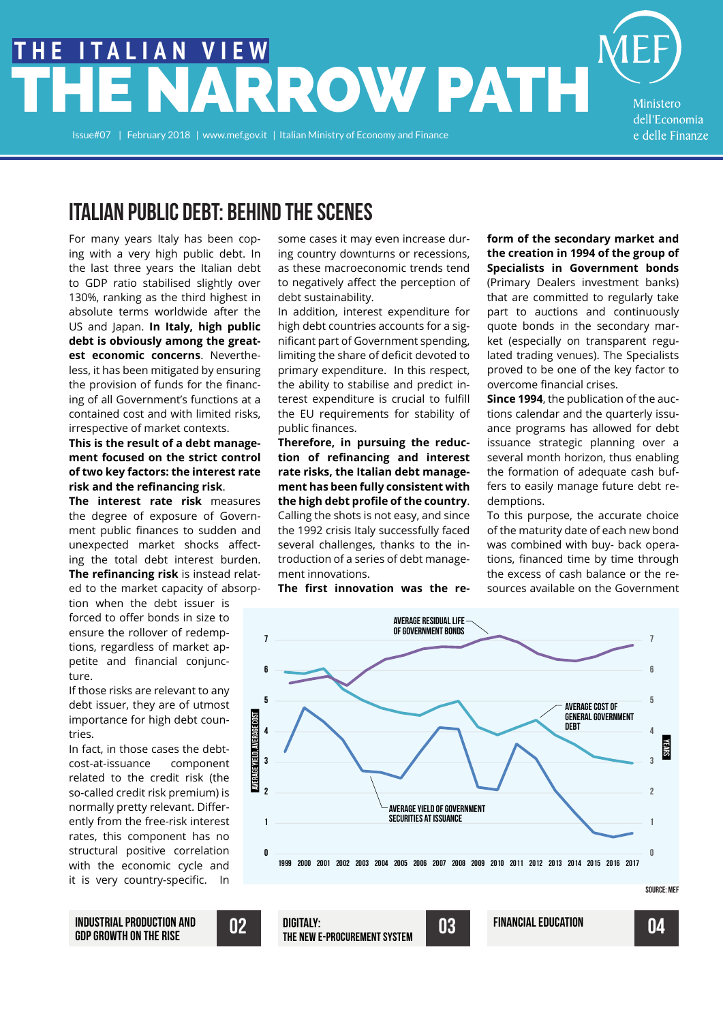# RROW PATH **THE ITALIAN VIEW**

Issue#07 | February 2018 | www.mef.gov.it | Italian Ministry of Economy and Finance

Ministero dell'Economia e delle Finanze

## ITALIAN PUBLIC DEBT: BEHIND THE SCENES

For many years Italy has been coping with a very high public debt. In the last three years the Italian debt to GDP ratio stabilised slightly over 130%, ranking as the third highest in absolute terms worldwide after the US and Japan. **In Italy, high public debt is obviously among the greatest economic concerns**. Nevertheless, it has been mitigated by ensuring the provision of funds for the financing of all Government's functions at a contained cost and with limited risks, irrespective of market contexts.

#### **This is the result of a debt management focused on the strict control of two key factors: the interest rate risk and the refinancing risk**.

**The interest rate risk** measures the degree of exposure of Government public finances to sudden and unexpected market shocks affecting the total debt interest burden. **The refinancing risk** is instead related to the market capacity of absorp-

tion when the debt issuer is forced to offer bonds in size to ensure the rollover of redemptions, regardless of market appetite and financial conjuncture.

If those risks are relevant to any debt issuer, they are of utmost importance for high debt countries.

In fact, in those cases the debtcost-at-issuance component related to the credit risk (the so-called credit risk premium) is normally pretty relevant. Differently from the free-risk interest rates, this component has no structural positive correlation with the economic cycle and it is very country-specific. In

some cases it may even increase during country downturns or recessions, as these macroeconomic trends tend to negatively affect the perception of debt sustainability.

In addition, interest expenditure for high debt countries accounts for a significant part of Government spending, limiting the share of deficit devoted to primary expenditure. In this respect, the ability to stabilise and predict interest expenditure is crucial to fulfill the EU requirements for stability of public finances.

**Therefore, in pursuing the reduction of refinancing and interest rate risks, the Italian debt management has been fully consistent with the high debt profile of the country**. Calling the shots is not easy, and since the 1992 crisis Italy successfully faced several challenges, thanks to the introduction of a series of debt management innovations.

**The first innovation was the re-**

#### **form of the secondary market and the creation in 1994 of the group of Specialists in Government bonds** (Primary Dealers investment banks) that are committed to regularly take part to auctions and continuously quote bonds in the secondary mar-

ket (especially on transparent regulated trading venues). The Specialists proved to be one of the key factor to overcome financial crises.

**Since 1994**, the publication of the auctions calendar and the quarterly issuance programs has allowed for debt issuance strategic planning over a several month horizon, thus enabling the formation of adequate cash buffers to easily manage future debt redemptions.

To this purpose, the accurate choice of the maturity date of each new bond was combined with buy- back operations, financed time by time through the excess of cash balance or the resources available on the Government





INDUSTRIAL PRODUCTION AND<br>
GDP GROWTH ON THE RISE THE NEW E-PROCUREMENT SYSTEM INDUSTRIAL PRODUCTION AND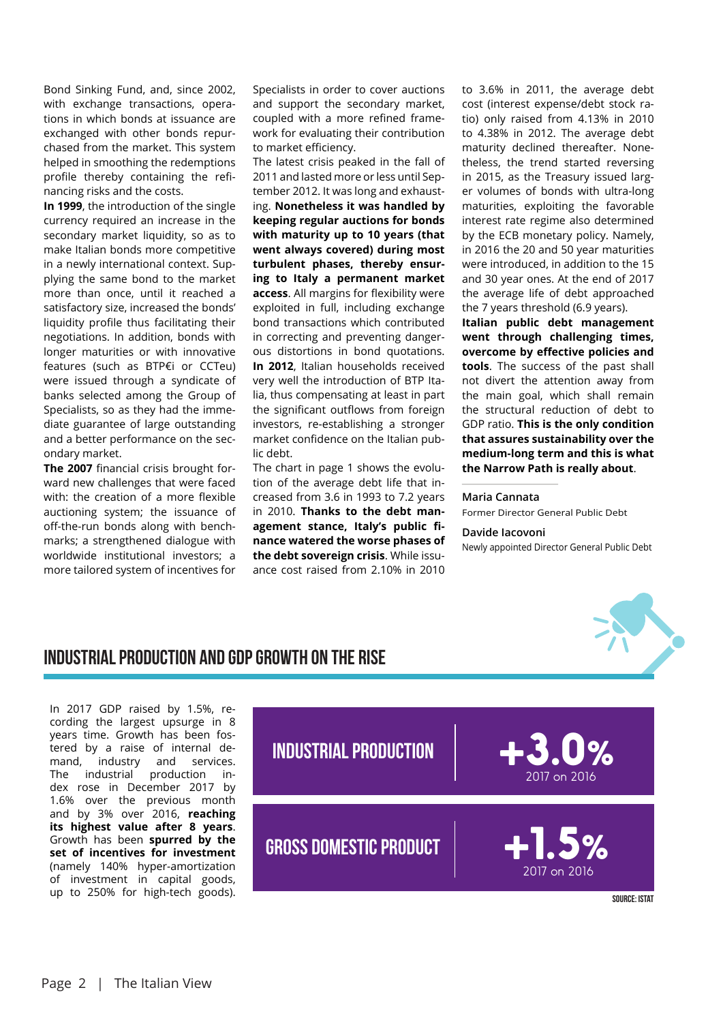Bond Sinking Fund, and, since 2002, with exchange transactions, operations in which bonds at issuance are exchanged with other bonds repurchased from the market. This system helped in smoothing the redemptions profile thereby containing the refinancing risks and the costs.

**In 1999**, the introduction of the single currency required an increase in the secondary market liquidity, so as to make Italian bonds more competitive in a newly international context. Supplying the same bond to the market more than once, until it reached a satisfactory size, increased the bonds' liquidity profile thus facilitating their negotiations. In addition, bonds with longer maturities or with innovative features (such as BTP€i or CCTeu) were issued through a syndicate of banks selected among the Group of Specialists, so as they had the immediate guarantee of large outstanding and a better performance on the secondary market.

**The 2007** financial crisis brought forward new challenges that were faced with: the creation of a more flexible auctioning system; the issuance of off-the-run bonds along with benchmarks; a strengthened dialogue with worldwide institutional investors; a more tailored system of incentives for

Specialists in order to cover auctions and support the secondary market, coupled with a more refined framework for evaluating their contribution to market efficiency.

The latest crisis peaked in the fall of 2011 and lasted more or less until September 2012. It was long and exhausting. **Nonetheless it was handled by keeping regular auctions for bonds with maturity up to 10 years (that went always covered) during most turbulent phases, thereby ensuring to Italy a permanent market access**. All margins for flexibility were exploited in full, including exchange bond transactions which contributed in correcting and preventing dangerous distortions in bond quotations. **In 2012**, Italian households received very well the introduction of BTP Italia, thus compensating at least in part the significant outflows from foreign investors, re-establishing a stronger market confidence on the Italian public debt.

The chart in page 1 shows the evolution of the average debt life that increased from 3.6 in 1993 to 7.2 years in 2010. **Thanks to the debt management stance, Italy's public finance watered the worse phases of the debt sovereign crisis**. While issuance cost raised from 2.10% in 2010

to 3.6% in 2011, the average debt cost (interest expense/debt stock ratio) only raised from 4.13% in 2010 to 4.38% in 2012. The average debt maturity declined thereafter. Nonetheless, the trend started reversing in 2015, as the Treasury issued larger volumes of bonds with ultra-long maturities, exploiting the favorable interest rate regime also determined by the ECB monetary policy. Namely, in 2016 the 20 and 50 year maturities were introduced, in addition to the 15 and 30 year ones. At the end of 2017 the average life of debt approached the 7 years threshold (6.9 years).

**Italian public debt management went through challenging times, overcome by effective policies and tools**. The success of the past shall not divert the attention away from the main goal, which shall remain the structural reduction of debt to GDP ratio. **This is the only condition that assures sustainability over the medium-long term and this is what the Narrow Path is really about**.

#### **Maria Cannata**

Former Director General Public Debt

#### **Davide Iacovoni**

Newly appointed Director General Public Debt



#### INDUSTRIAL PRODUCTION AND GDP GROWTH ON THE RISE

In 2017 GDP raised by 1.5%, recording the largest upsurge in 8 years time. Growth has been fostered by a raise of internal demand, industry and services. The industrial production index rose in December 2017 by 1.6% over the previous month and by 3% over 2016, **reaching its highest value after 8 years**. Growth has been **spurred by the set of incentives for investment**  (namely 140% hyper-amortization of investment in capital goods, entitled and money into an international money into an international money in<br>up to 250% for high-tech goods).



Source: ISTAT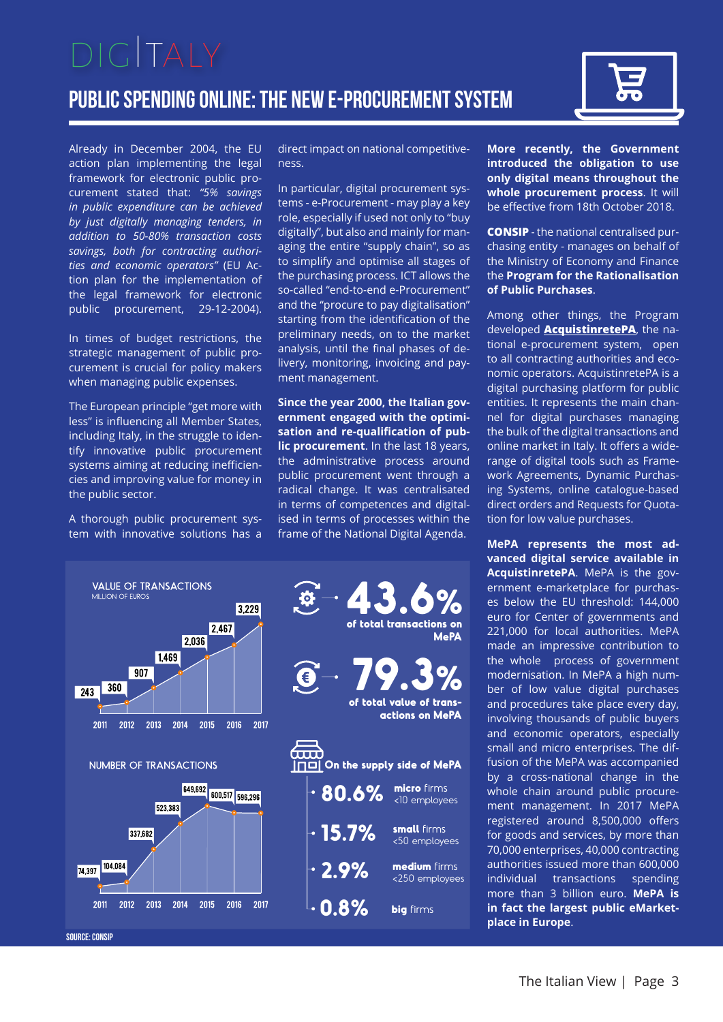## Public spending online: the new e-procurement system  $DIGITAY$



Already in December 2004, the EU action plan implementing the legal framework for electronic public procurement stated that: *"5% savings in public expenditure can be achieved by just digitally managing tenders, in addition to 50-80% transaction costs savings, both for contracting authorities and economic operators"* (EU Action plan for the implementation of the legal framework for electronic public procurement, 29-12-2004).

In times of budget restrictions, the strategic management of public procurement is crucial for policy makers when managing public expenses.

The European principle "get more with less" is influencing all Member States, including Italy, in the struggle to identify innovative public procurement systems aiming at reducing inefficiencies and improving value for money in the public sector.

A thorough public procurement system with innovative solutions has a direct impact on national competitiveness.

In particular, digital procurement systems - e-Procurement - may play a key role, especially if used not only to "buy digitally", but also and mainly for managing the entire "supply chain", so as to simplify and optimise all stages of the purchasing process. ICT allows the so-called "end-to-end e-Procurement" and the "procure to pay digitalisation" starting from the identification of the preliminary needs, on to the market analysis, until the final phases of delivery, monitoring, invoicing and payment management.

**Since the year 2000, the Italian government engaged with the optimisation and re-qualification of public procurement**. In the last 18 years, the administrative process around public procurement went through a radical change. It was centralisated in terms of competences and digitalised in terms of processes within the frame of the National Digital Agenda.



**More recently, the Government introduced the obligation to use only digital means throughout the whole procurement process**. It will be effective from 18th October 2018.

**CONSIP** - the national centralised purchasing entity - manages on behalf of the Ministry of Economy and Finance the **Program for the Rationalisation of Public Purchases**.

Among other things, the Program developed **AcquistinretePA**, the national e-procurement system, open to all contracting authorities and economic operators. AcquistinretePA is a digital purchasing platform for public entities. It represents the main channel for digital purchases managing the bulk of the digital transactions and online market in Italy. It offers a widerange of digital tools such as Framework Agreements, Dynamic Purchasing Systems, online catalogue-based direct orders and Requests for Quotation for low value purchases.

**MePA represents the most advanced digital service available in AcquistinretePA**. MePA is the government e-marketplace for purchases below the EU threshold: 144,000 euro for Center of governments and 221,000 for local authorities. MePA made an impressive contribution to the whole process of government modernisation. In MePA a high number of low value digital purchases and procedures take place every day, involving thousands of public buyers and economic operators, especially small and micro enterprises. The diffusion of the MePA was accompanied by a cross-national change in the whole chain around public procurement management. In 2017 MePA registered around 8,500,000 offers for goods and services, by more than 70,000 enterprises, 40,000 contracting authorities issued more than 600,000 individual transactions spending more than 3 billion euro. **MePA is in fact the largest public eMarketplace in Europe**.